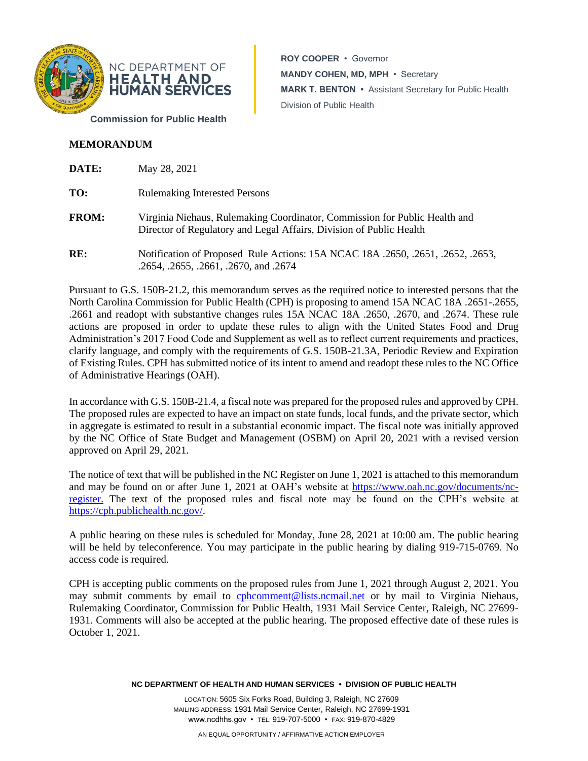

**ROY COOPER** • Governor **MANDY COHEN, MD, MPH** • Secretary **MARK T. BENTON •** Assistant Secretary for Public Health Division of Public Health

**MEMORANDUM** 

| DATE:        | May 28, 2021                                                                                                                                      |
|--------------|---------------------------------------------------------------------------------------------------------------------------------------------------|
| TO:          | <b>Rulemaking Interested Persons</b>                                                                                                              |
| <b>FROM:</b> | Virginia Niehaus, Rulemaking Coordinator, Commission for Public Health and<br>Director of Regulatory and Legal Affairs, Division of Public Health |
| RE:          | Notification of Proposed Rule Actions: 15A NCAC 18A .2650, .2651, .2652, .2653,<br>.2654, .2655, .2661, .2670, and .2674                          |

Pursuant to G.S. 150B-21.2, this memorandum serves as the required notice to interested persons that the North Carolina Commission for Public Health (CPH) is proposing to amend 15A NCAC 18A .2651-.2655, .2661 and readopt with substantive changes rules 15A NCAC 18A .2650, .2670, and .2674. These rule actions are proposed in order to update these rules to align with the United States Food and Drug Administration's 2017 Food Code and Supplement as well as to reflect current requirements and practices, clarify language, and comply with the requirements of G.S. 150B-21.3A, Periodic Review and Expiration of Existing Rules. CPH has submitted notice of its intent to amend and readopt these rules to the NC Office of Administrative Hearings (OAH).

In accordance with G.S. 150B-21.4, a fiscal note was prepared for the proposed rules and approved by CPH. The proposed rules are expected to have an impact on state funds, local funds, and the private sector, which in aggregate is estimated to result in a substantial economic impact. The fiscal note was initially approved by the NC Office of State Budget and Management (OSBM) on April 20, 2021 with a revised version approved on April 29, 2021.

The notice of text that will be published in the NC Register on June 1, 2021 is attached to this memorandum and may be found on or after June 1, 2021 at OAH's website at [https://www.oah.nc.gov/documents/nc](https://www.oah.nc.gov/documents/nc-register)[register.](https://www.oah.nc.gov/documents/nc-register) The text of the proposed rules and fiscal note may be found on the CPH's website at [https://cph.publichealth.nc.gov/.](https://cph.publichealth.nc.gov/)

A public hearing on these rules is scheduled for Monday, June 28, 2021 at 10:00 am. The public hearing will be held by teleconference. You may participate in the public hearing by dialing 919-715-0769. No access code is required.

CPH is accepting public comments on the proposed rules from June 1, 2021 through August 2, 2021. You may submit comments by email to [cphcomment@lists.ncmail.net](mailto:cphcomment@lists.ncmail.net) or by mail to Virginia Niehaus, Rulemaking Coordinator, Commission for Public Health, 1931 Mail Service Center, Raleigh, NC 27699- 1931. Comments will also be accepted at the public hearing. The proposed effective date of these rules is October 1, 2021.

**NC DEPARTMENT OF HEALTH AND HUMAN SERVICES • DIVISION OF PUBLIC HEALTH**

LOCATION: 5605 Six Forks Road, Building 3, Raleigh, NC 27609 MAILING ADDRESS: 1931 Mail Service Center, Raleigh, NC 27699-1931 www.ncdhhs.gov • TEL: 919-707-5000 • FAX: 919-870-4829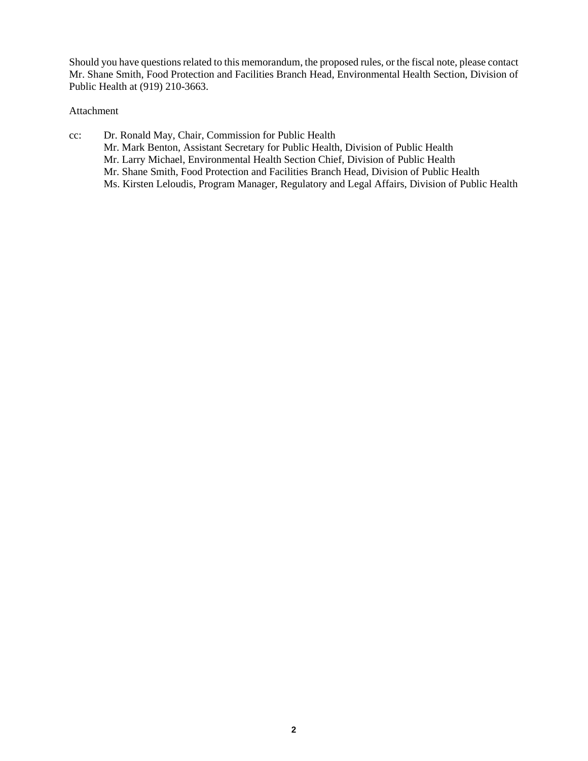Should you have questions related to this memorandum, the proposed rules, or the fiscal note, please contact Mr. Shane Smith, Food Protection and Facilities Branch Head, Environmental Health Section, Division of Public Health at (919) 210-3663.

# Attachment

cc: Dr. Ronald May, Chair, Commission for Public Health Mr. Mark Benton, Assistant Secretary for Public Health, Division of Public Health Mr. Larry Michael, Environmental Health Section Chief, Division of Public Health Mr. Shane Smith, Food Protection and Facilities Branch Head, Division of Public Health Ms. Kirsten Leloudis, Program Manager, Regulatory and Legal Affairs, Division of Public Health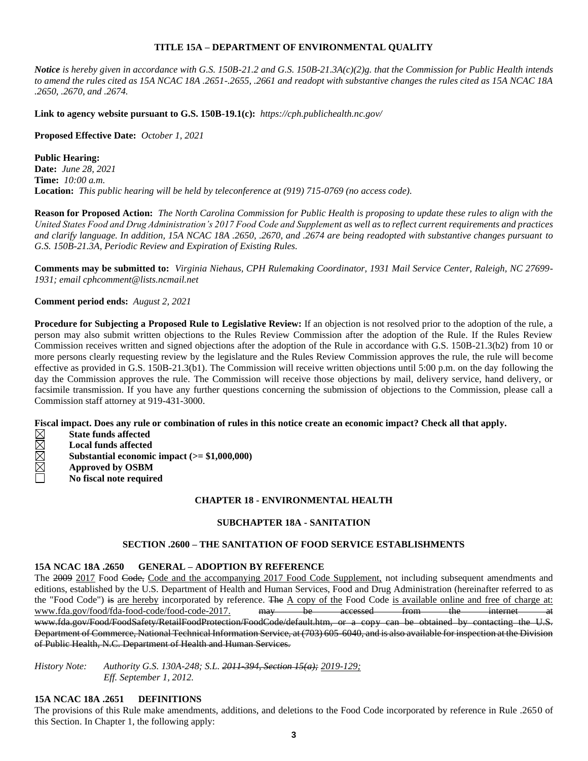## **TITLE 15A – DEPARTMENT OF ENVIRONMENTAL QUALITY**

*Notice is hereby given in accordance with G.S. 150B-21.2 and G.S. 150B-21.3A(c)(2)g. that the Commission for Public Health intends to amend the rules cited as 15A NCAC 18A .2651-.2655, .2661 and readopt with substantive changes the rules cited as 15A NCAC 18A .2650, .2670, and .2674.*

**Link to agency website pursuant to G.S. 150B-19.1(c):** *https://cph.publichealth.nc.gov/*

**Proposed Effective Date:** *October 1, 2021*

**Public Hearing: Date:** *June 28, 2021* **Time:** *10:00 a.m.* **Location:** *This public hearing will be held by teleconference at (919) 715-0769 (no access code).*

**Reason for Proposed Action:** *The North Carolina Commission for Public Health is proposing to update these rules to align with the United States Food and Drug Administration's 2017 Food Code and Supplement as well as to reflect current requirements and practices and clarify language. In addition, 15A NCAC 18A .2650, .2670, and .2674 are being readopted with substantive changes pursuant to G.S. 150B-21.3A, Periodic Review and Expiration of Existing Rules.*

**Comments may be submitted to:** *Virginia Niehaus, CPH Rulemaking Coordinator, 1931 Mail Service Center, Raleigh, NC 27699- 1931; email cphcomment@lists.ncmail.net*

**Comment period ends:** *August 2, 2021*

**Procedure for Subjecting a Proposed Rule to Legislative Review:** If an objection is not resolved prior to the adoption of the rule, a person may also submit written objections to the Rules Review Commission after the adoption of the Rule. If the Rules Review Commission receives written and signed objections after the adoption of the Rule in accordance with G.S. 150B-21.3(b2) from 10 or more persons clearly requesting review by the legislature and the Rules Review Commission approves the rule, the rule will become effective as provided in G.S. 150B-21.3(b1). The Commission will receive written objections until 5:00 p.m. on the day following the day the Commission approves the rule. The Commission will receive those objections by mail, delivery service, hand delivery, or facsimile transmission. If you have any further questions concerning the submission of objections to the Commission, please call a Commission staff attorney at 919-431-3000.

**Fiscal impact. Does any rule or combination of rules in this notice create an economic impact? Check all that apply.**

- **State funds affected**
- onde **Local funds affected**
- **Substantial economic impact (>= \$1,000,000)**
- **Approved by OSBM**
	- **No fiscal note required**

#### **CHAPTER 18 - ENVIRONMENTAL HEALTH**

#### **SUBCHAPTER 18A - SANITATION**

### **SECTION .2600 – THE SANITATION OF FOOD SERVICE ESTABLISHMENTS**

## **15A NCAC 18A .2650 GENERAL – ADOPTION BY REFERENCE**

The 2009 2017 Food Code, Code and the accompanying 2017 Food Code Supplement, not including subsequent amendments and editions, established by the U.S. Department of Health and Human Services, Food and Drug Administration (hereinafter referred to as the "Food Code") is are hereby incorporated by reference. The A copy of the Food Code is available online and free of charge at: www.fda.gov/food/fda-food-code/food-code-2017. may be accessed from the internet at www.fda.gov/Food/FoodSafety/RetailFoodProtection/FoodCode/default.htm, or a copy can be obtained by contacting the U.S. Department of Commerce, National Technical Information Service, at (703) 605-6040, and is also available for inspection at the Division of Public Health, N.C. Department of Health and Human Services.

*History Note: Authority G.S. 130A-248; S.L. 2011-394, Section 15(a); 2019-129; Eff. September 1, 2012.*

### **15A NCAC 18A .2651 DEFINITIONS**

The provisions of this Rule make amendments, additions, and deletions to the Food Code incorporated by reference in Rule .2650 of this Section. In Chapter 1, the following apply: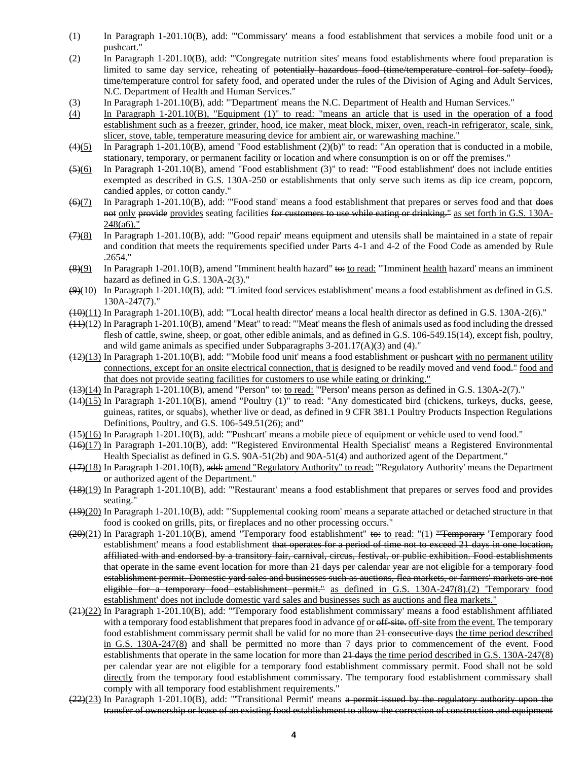- (1) In Paragraph 1-201.10(B), add: "'Commissary' means a food establishment that services a mobile food unit or a pushcart."
- (2) In Paragraph 1-201.10(B), add: "'Congregate nutrition sites' means food establishments where food preparation is limited to same day service, reheating of potentially hazardous food (time/temperature control for safety food), time/temperature control for safety food, and operated under the rules of the Division of Aging and Adult Services, N.C. Department of Health and Human Services."
- (3) In Paragraph 1-201.10(B), add: "'Department' means the N.C. Department of Health and Human Services."
- (4) In Paragraph 1-201.10(B), "Equipment (1)" to read: "means an article that is used in the operation of a food establishment such as a freezer, grinder, hood, ice maker, meat block, mixer, oven, reach-in refrigerator, scale, sink, slicer, stove, table, temperature measuring device for ambient air, or warewashing machine."
- $(4)(5)$  In Paragraph 1-201.10(B), amend "Food establishment (2)(b)" to read: "An operation that is conducted in a mobile, stationary, temporary, or permanent facility or location and where consumption is on or off the premises."
- (5)(6) In Paragraph 1-201.10(B), amend "Food establishment (3)" to read: "'Food establishment' does not include entities exempted as described in G.S. 130A-250 or establishments that only serve such items as dip ice cream, popcorn, candied apples, or cotton candy."
- (6)(7) In Paragraph 1-201.10(B), add: "'Food stand' means a food establishment that prepares or serves food and that does not only provide provides seating facilities for customers to use while eating or drinking." as set forth in G.S. 130A-248(a6)."
- $(7)(8)$  In Paragraph 1-201.10(B), add: "Good repair' means equipment and utensils shall be maintained in a state of repair and condition that meets the requirements specified under Parts 4-1 and 4-2 of the Food Code as amended by Rule .2654."
- $(8)(9)$  In Paragraph 1-201.10(B), amend "Imminent health hazard" to: to read: "'Imminent health hazard' means an imminent hazard as defined in G.S. 130A-2(3)."
- $\left(\frac{99(10)}{201}\right)$  In Paragraph 1-201.10(B), add: "Limited food services establishment' means a food establishment as defined in G.S. 130A-247(7)."
- $(10)(11)$  In Paragraph 1-201.10(B), add: "Local health director' means a local health director as defined in G.S. 130A-2(6)."
- $(11)(12)$  In Paragraph 1-201.10(B), amend "Meat" to read: "'Meat' means the flesh of animals used as food including the dressed flesh of cattle, swine, sheep, or goat, other edible animals, and as defined in G.S. 106-549.15(14), except fish, poultry, and wild game animals as specified under Subparagraphs 3-201.17(A)(3) and (4)."
- $(12)(13)$  In Paragraph 1-201.10(B), add: "Mobile food unit' means a food establishment or pusheart with no permanent utility connections, except for an onsite electrical connection, that is designed to be readily moved and vend food." food and that does not provide seating facilities for customers to use while eating or drinking."
- $(13)(14)$  In Paragraph 1-201.10(B), amend "Person" to: to read: "Person' means person as defined in G.S. 130A-2(7)."
- (14)(15) In Paragraph 1-201.10(B), amend "Poultry (1)" to read: "Any domesticated bird (chickens, turkeys, ducks, geese, guineas, ratites, or squabs), whether live or dead, as defined in 9 CFR 381.1 Poultry Products Inspection Regulations Definitions, Poultry, and G.S. 106-549.51(26); and"
- (15)(16) In Paragraph 1-201.10(B), add: "'Pushcart' means a mobile piece of equipment or vehicle used to vend food."
- (16)(17) In Paragraph 1-201.10(B), add: "'Registered Environmental Health Specialist' means a Registered Environmental Health Specialist as defined in G.S. 90A-51(2b) and 90A-51(4) and authorized agent of the Department."
- (17)(18) In Paragraph 1-201.10(B), add: amend "Regulatory Authority" to read: "'Regulatory Authority' means the Department or authorized agent of the Department."
- (18)(19) In Paragraph 1-201.10(B), add: "'Restaurant' means a food establishment that prepares or serves food and provides seating."
- (19)(20) In Paragraph 1-201.10(B), add: "'Supplemental cooking room' means a separate attached or detached structure in that food is cooked on grills, pits, or fireplaces and no other processing occurs."
- $(20)(21)$  In Paragraph 1-201.10(B), amend "Temporary food establishment" to: to read: "(1) "Temporary 'Temporary food establishment' means a food establishment that operates for a period of time not to exceed 21 days in one location, affiliated with and endorsed by a transitory fair, carnival, circus, festival, or public exhibition. Food establishments that operate in the same event location for more than 21 days per calendar year are not eligible for a temporary food establishment permit. Domestic yard sales and businesses such as auctions, flea markets, or farmers' markets are not eligible for a temporary food establishment permit." as defined in G.S. 130A-247(8).(2) 'Temporary food establishment' does not include domestic yard sales and businesses such as auctions and flea markets."
- (21)(22) In Paragraph 1-201.10(B), add: "'Temporary food establishment commissary' means a food establishment affiliated with a temporary food establishment that prepares food in advance of or  $\frac{f}{f}$  site. of f-site from the event. The temporary food establishment commissary permit shall be valid for no more than 21 consecutive days the time period described in G.S. 130A-247(8) and shall be permitted no more than 7 days prior to commencement of the event. Food establishments that operate in the same location for more than 21 days the time period described in G.S. 130A-247(8) per calendar year are not eligible for a temporary food establishment commissary permit. Food shall not be sold directly from the temporary food establishment commissary. The temporary food establishment commissary shall comply with all temporary food establishment requirements."
- (22)(23) In Paragraph 1-201.10(B), add: "Transitional Permit' means a permit issued by the regulatory authority upon the transfer of ownership or lease of an existing food establishment to allow the correction of construction and equipment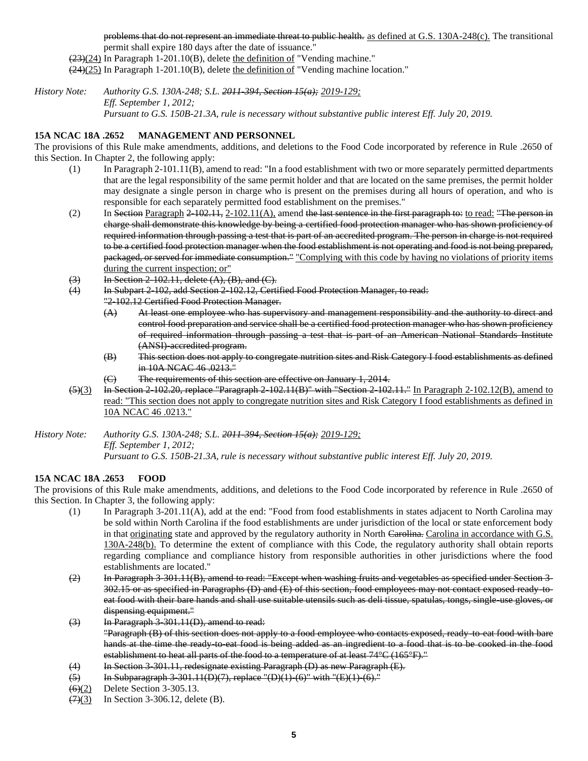problems that do not represent an immediate threat to public health. as defined at G.S. 130A-248(c). The transitional permit shall expire 180 days after the date of issuance."

 $(23)(24)$  In Paragraph 1-201.10(B), delete the definition of "Vending machine."

(24)(25) In Paragraph 1-201.10(B), delete the definition of "Vending machine location."

*History Note: Authority G.S. 130A-248; S.L. 2011-394, Section 15(a); 2019-129; Eff. September 1, 2012; Pursuant to G.S. 150B-21.3A, rule is necessary without substantive public interest Eff. July 20, 2019.*

### **15A NCAC 18A .2652 MANAGEMENT AND PERSONNEL**

The provisions of this Rule make amendments, additions, and deletions to the Food Code incorporated by reference in Rule .2650 of this Section. In Chapter 2, the following apply:

- (1) In Paragraph 2-101.11(B), amend to read: "In a food establishment with two or more separately permitted departments that are the legal responsibility of the same permit holder and that are located on the same premises, the permit holder may designate a single person in charge who is present on the premises during all hours of operation, and who is responsible for each separately permitted food establishment on the premises."
- (2) In Section Paragraph  $2-102.11, 2-102.11(A)$ , amend the last sentence in the first paragraph to: to read: "The person in charge shall demonstrate this knowledge by being a certified food protection manager who has shown proficiency of required information through passing a test that is part of an accredited program. The person in charge is not required to be a certified food protection manager when the food establishment is not operating and food is not being prepared, packaged, or served for immediate consumption." "Complying with this code by having no violations of priority items during the current inspection; or"
- $\overline{1,3}$  In Section 2-102.11, delete  $(A)$ ,  $(B)$ , and  $(C)$ .
- (4) In Subpart 2-102, add Section 2-102.12, Certified Food Protection Manager, to read:
	- "2-102.12 Certified Food Protection Manager.
		- (A) At least one employee who has supervisory and management responsibility and the authority to direct and control food preparation and service shall be a certified food protection manager who has shown proficiency of required information through passing a test that is part of an American National Standards Institute (ANSI)-accredited program.
		- (B) This section does not apply to congregate nutrition sites and Risk Category I food establishments as defined in 10A NCAC 46 .0213."
		- (C) The requirements of this section are effective on January 1, 2014.
- $(5)(3)$  In Section 2-102.20, replace "Paragraph 2-102.11(B)" with "Section 2-102.11." In Paragraph 2-102.12(B), amend to read: "This section does not apply to congregate nutrition sites and Risk Category I food establishments as defined in 10A NCAC 46 .0213."

*History Note: Authority G.S. 130A-248; S.L. 2011-394, Section 15(a); 2019-129; Eff. September 1, 2012; Pursuant to G.S. 150B-21.3A, rule is necessary without substantive public interest Eff. July 20, 2019.*

## **15A NCAC 18A .2653 FOOD**

The provisions of this Rule make amendments, additions, and deletions to the Food Code incorporated by reference in Rule .2650 of this Section. In Chapter 3, the following apply:

- (1) In Paragraph 3-201.11(A), add at the end: "Food from food establishments in states adjacent to North Carolina may be sold within North Carolina if the food establishments are under jurisdiction of the local or state enforcement body in that <u>originating</u> state and approved by the regulatory authority in North Carolina. Carolina in accordance with G.S. 130A-248(b). To determine the extent of compliance with this Code, the regulatory authority shall obtain reports regarding compliance and compliance history from responsible authorities in other jurisdictions where the food establishments are located."
- (2) In Paragraph 3-301.11(B), amend to read: "Except when washing fruits and vegetables as specified under Section 3- 302.15 or as specified in Paragraphs (D) and (E) of this section, food employees may not contact exposed ready-toeat food with their bare hands and shall use suitable utensils such as deli tissue, spatulas, tongs, single-use gloves, or dispensing equipment."
- (3) In Paragraph 3-301.11(D), amend to read: "Paragraph (B) of this section does not apply to a food employee who contacts exposed, ready-to-eat food with bare hands at the time the ready to eat food is being added as an ingredient to a food that is to be cooked in the food establishment to heat all parts of the food to a temperature of at least 74°C (165°F)."
- (4) In Section 3-301.11, redesignate existing Paragraph (D) as new Paragraph (E).
- $(5)$  In Subparagraph 3-301.11(D)(7), replace "(D)(1)-(6)" with "(E)(1)-(6)."
- (6)(2) Delete Section 3-305.13.
- $(7)(3)$  In Section 3-306.12, delete (B).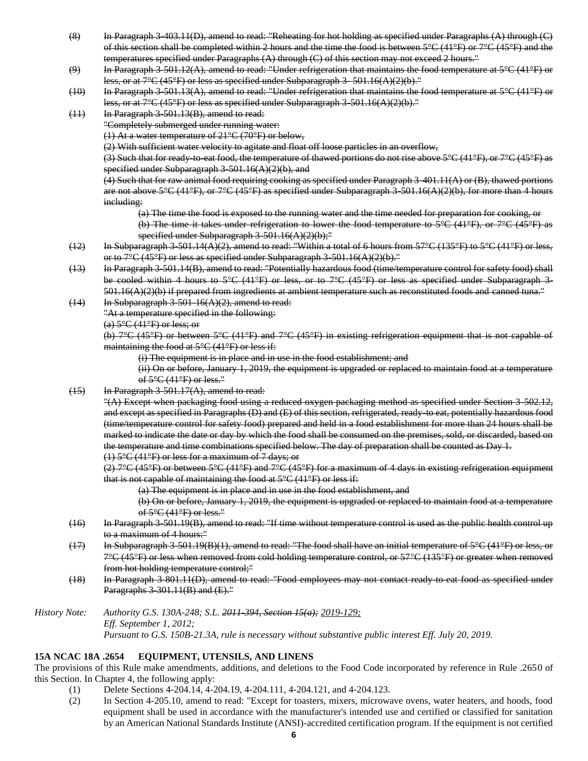- (8) In Paragraph 3-403.11(D), amend to read: "Reheating for hot holding as specified under Paragraphs (A) through (C) of this section shall be completed within 2 hours and the time the food is between  $5^{\circ}C(41^{\circ}F)$  or  $7^{\circ}C(45^{\circ}F)$  and the temperatures specified under Paragraphs (A) through (C) of this section may not exceed 2 hours."
- $(9)$  In Paragraph 3-501.12(A), amend to read: "Under refrigeration that maintains the food temperature at  $5^{\circ}C(41^{\circ}F)$  or less, or at  $7^{\circ}$ C (45 $^{\circ}$ F) or less as specified under Subparagraph 3 - 501.16(A)(2)(b)."
- (10) In Paragraph 3-501.13(A), amend to read: "Under refrigeration that maintains the food temperature at 5°C (41°F) or less, or at  $7^{\circ}C(45^{\circ}F)$  or less as specified under Subparagraph 3-501.16(A)(2)(b).
- (11) In Paragraph 3-501.13(B), amend to read: "Completely submerged under running water: (1) At a water temperature of 21°C (70°F) or below, (2) With sufficient water velocity to agitate and float off loose particles in an overflow, (3) Such that for ready to-eat food, the temperature of thawed portions do not rise above  $5^{\circ}C(41^{\circ}F)$ , or  $7^{\circ}C(45^{\circ}F)$  as specified under Subparagraph  $3-501.16(A)(2)(b)$ , and
	- (4) Such that for raw animal food requiring cooking as specified under Paragraph 3-401.11(A) or (B), thawed portions are not above 5°C (41°F), or 7°C (45°F) as specified under Subparagraph 3-501.16(A)(2)(b), for more than 4 hours including:
		- (a) The time the food is exposed to the running water and the time needed for preparation for cooking, or
		- (b) The time it takes under refrigeration to lower the food temperature to 5°C (41°F), or 7°C (45°F) as specified under Subparagraph  $3-501.16(A)(2)(b)$ ;"
- (12) In Subparagraph 3-501.14(A)(2), amend to read: "Within a total of 6 hours from  $57^{\circ}C$  (135 $^{\circ}F$ ) to  $5^{\circ}C$  (41 $^{\circ}F$ ) or less, or to 7°C (45°F) or less as specified under Subparagraph 3-501.16(A)(2)(b)."
- (13) In Paragraph 3-501.14(B), amend to read: "Potentially hazardous food (time/temperature control for safety food) shall be cooled within 4 hours to 5°C (41°F) or less, or to 7°C (45°F) or less as specified under Subparagraph 3- $501.16(A)(2)(b)$  if prepared from ingredients at ambient temperature such as reconstituted foods and canned tuna."
- $(14)$  In Subparagraph 3-501-16(A)(2), amend to read:
	- "At a temperature specified in the following:

 $(a)$  5°C (41°F) or less; or

(b) 7°C (45°F) or between 5°C (41°F) and 7°C (45°F) in existing refrigeration equipment that is not capable of maintaining the food at  $5^{\circ}$ C (41 $^{\circ}$ F) or less if:

(i) The equipment is in place and in use in the food establishment; and

(ii) On or before, January 1, 2019, the equipment is upgraded or replaced to maintain food at a temperature of 5°C (41°F) or less."

 $(15)$  In Paragraph 3-501.17(A), amend to read:

"(A) Except when packaging food using a reduced oxygen packaging method as specified under Section 3-502.12, and except as specified in Paragraphs (D) and (E) of this section, refrigerated, ready-to eat, potentially hazardous food (time/temperature control for safety food) prepared and held in a food establishment for more than 24 hours shall be marked to indicate the date or day by which the food shall be consumed on the premises, sold, or discarded, based on the temperature and time combinations specified below. The day of preparation shall be counted as Day 1. (1) 5°C (41°F) or less for a maximum of 7 days; or

(2)  $7^{\circ}C$  (45°F) or between  $5^{\circ}C$  (41°F) and  $7^{\circ}C$  (45°F) for a maximum of 4 days in existing refrigeration equipment that is not capable of maintaining the food at  $5^{\circ}C(41^{\circ}F)$  or less if:

(a) The equipment is in place and in use in the food establishment, and

(b) On or before, January 1, 2019, the equipment is upgraded or replaced to maintain food at a temperature of  $5^{\circ}$ C (41 $^{\circ}$ F) or less."

- (16) In Paragraph 3-501.19(B), amend to read: "If time without temperature control is used as the public health control up to a maximum of 4 hours:"
- (17) In Subparagraph 3-501.19(B)(1), amend to read: "The food shall have an initial temperature of 5°C (41°F) or less, or 7°C (45°F) or less when removed from cold holding temperature control, or 57°C (135°F) or greater when removed from hot holding temperature control;"
- (18) In Paragraph 3-801.11(D), amend to read: "Food employees may not contact ready-to-eat food as specified under Paragraphs 3-301.11(B) and (E)."
- *History Note: Authority G.S. 130A-248; S.L. 2011-394, Section 15(a); 2019-129; Eff. September 1, 2012; Pursuant to G.S. 150B-21.3A, rule is necessary without substantive public interest Eff. July 20, 2019.*

## **15A NCAC 18A .2654 EQUIPMENT, UTENSILS, AND LINENS**

The provisions of this Rule make amendments, additions, and deletions to the Food Code incorporated by reference in Rule .2650 of this Section. In Chapter 4, the following apply:

- (1) Delete Sections 4-204.14, 4-204.19, 4-204.111, 4-204.121, and 4-204.123.
- (2) In Section 4-205.10, amend to read: "Except for toasters, mixers, microwave ovens, water heaters, and hoods, food equipment shall be used in accordance with the manufacturer's intended use and certified or classified for sanitation by an American National Standards Institute (ANSI)-accredited certification program. If the equipment is not certified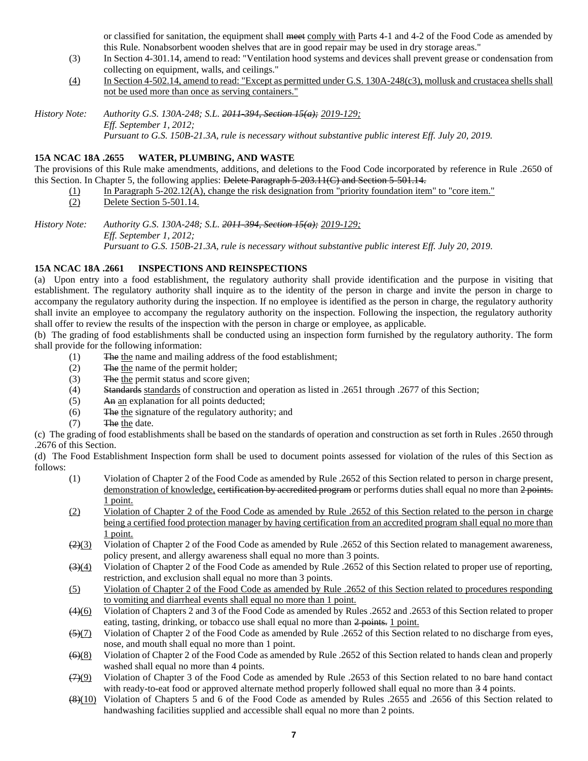or classified for sanitation, the equipment shall meet comply with Parts 4-1 and 4-2 of the Food Code as amended by this Rule. Nonabsorbent wooden shelves that are in good repair may be used in dry storage areas."

- (3) In Section 4-301.14, amend to read: "Ventilation hood systems and devices shall prevent grease or condensation from collecting on equipment, walls, and ceilings."
- (4) In Section 4-502.14, amend to read: "Except as permitted under G.S. 130A-248(c3), mollusk and crustacea shells shall not be used more than once as serving containers."

*History Note: Authority G.S. 130A-248; S.L. 2011-394, Section 15(a); 2019-129; Eff. September 1, 2012; Pursuant to G.S. 150B-21.3A, rule is necessary without substantive public interest Eff. July 20, 2019.*

## **15A NCAC 18A .2655 WATER, PLUMBING, AND WASTE**

The provisions of this Rule make amendments, additions, and deletions to the Food Code incorporated by reference in Rule .2650 of this Section. In Chapter 5, the following applies: Delete Paragraph 5-203.11(C) and Section 5-501.14.

- (1) In Paragraph 5-202.12( $\overline{A}$ ), change the risk designation from "priority foundation item" to "core item."
- (2) Delete Section 5-501.14.

*History Note: Authority G.S. 130A-248; S.L. 2011-394, Section 15(a); 2019-129; Eff. September 1, 2012; Pursuant to G.S. 150B-21.3A, rule is necessary without substantive public interest Eff. July 20, 2019.*

# **15A NCAC 18A .2661 INSPECTIONS AND REINSPECTIONS**

(a) Upon entry into a food establishment, the regulatory authority shall provide identification and the purpose in visiting that establishment. The regulatory authority shall inquire as to the identity of the person in charge and invite the person in charge to accompany the regulatory authority during the inspection. If no employee is identified as the person in charge, the regulatory authority shall invite an employee to accompany the regulatory authority on the inspection. Following the inspection, the regulatory authority shall offer to review the results of the inspection with the person in charge or employee, as applicable.

(b) The grading of food establishments shall be conducted using an inspection form furnished by the regulatory authority. The form shall provide for the following information:

- (1) The the name and mailing address of the food establishment;
- (2) The the name of the permit holder;
- (3) The the permit status and score given;
- (4) Standards standards of construction and operation as listed in .2651 through .2677 of this Section;
- (5) An an explanation for all points deducted;
- (6) The the signature of the regulatory authority; and
- (7) The the date.

(c) The grading of food establishments shall be based on the standards of operation and construction as set forth in Rules .2650 through .2676 of this Section.

(d) The Food Establishment Inspection form shall be used to document points assessed for violation of the rules of this Section as follows:

- (1) Violation of Chapter 2 of the Food Code as amended by Rule .2652 of this Section related to person in charge present, demonstration of knowledge, certification by accredited program or performs duties shall equal no more than 2 points. 1 point.
- (2) Violation of Chapter 2 of the Food Code as amended by Rule .2652 of this Section related to the person in charge being a certified food protection manager by having certification from an accredited program shall equal no more than 1 point.
- $\left(\frac{2}{3}\right)$  Violation of Chapter 2 of the Food Code as amended by Rule .2652 of this Section related to management awareness, policy present, and allergy awareness shall equal no more than 3 points.
- $\left(\frac{3}{4}\right)$  Violation of Chapter 2 of the Food Code as amended by Rule .2652 of this Section related to proper use of reporting, restriction, and exclusion shall equal no more than 3 points.
- (5) Violation of Chapter 2 of the Food Code as amended by Rule .2652 of this Section related to procedures responding to vomiting and diarrheal events shall equal no more than 1 point.
- $(4)(6)$  Violation of Chapters 2 and 3 of the Food Code as amended by Rules .2652 and .2653 of this Section related to proper eating, tasting, drinking, or tobacco use shall equal no more than 2 points. 1 point.

 $\frac{53(7)}{2}$  Violation of Chapter 2 of the Food Code as amended by Rule .2652 of this Section related to no discharge from eyes, nose, and mouth shall equal no more than 1 point.

- (6)(8) Violation of Chapter 2 of the Food Code as amended by Rule .2652 of this Section related to hands clean and properly washed shall equal no more than 4 points.
- $(7)(9)$  Violation of Chapter 3 of the Food Code as amended by Rule .2653 of this Section related to no bare hand contact with ready-to-eat food or approved alternate method properly followed shall equal no more than  $3.4$  points.
- (8)(10) Violation of Chapters 5 and 6 of the Food Code as amended by Rules .2655 and .2656 of this Section related to handwashing facilities supplied and accessible shall equal no more than 2 points.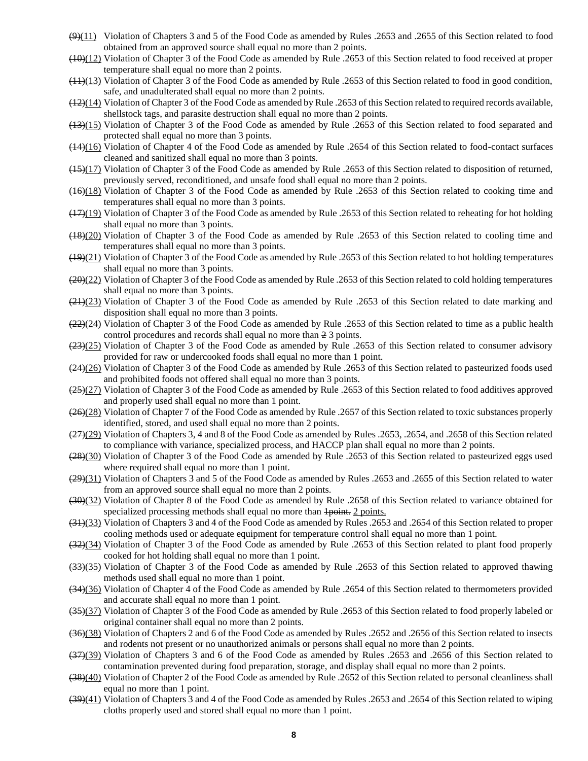- $(9)(11)$  Violation of Chapters 3 and 5 of the Food Code as amended by Rules .2653 and .2655 of this Section related to food obtained from an approved source shall equal no more than 2 points.
- $(10)(12)$  Violation of Chapter 3 of the Food Code as amended by Rule .2653 of this Section related to food received at proper temperature shall equal no more than 2 points.
- (11)(13) Violation of Chapter 3 of the Food Code as amended by Rule .2653 of this Section related to food in good condition, safe, and unadulterated shall equal no more than 2 points.
- (12)(14) Violation of Chapter 3 of the Food Code as amended by Rule .2653 of this Section related to required records available, shellstock tags, and parasite destruction shall equal no more than 2 points.
- (13)(15) Violation of Chapter 3 of the Food Code as amended by Rule .2653 of this Section related to food separated and protected shall equal no more than 3 points.
- (14)(16) Violation of Chapter 4 of the Food Code as amended by Rule .2654 of this Section related to food-contact surfaces cleaned and sanitized shall equal no more than 3 points.
- (15)(17) Violation of Chapter 3 of the Food Code as amended by Rule .2653 of this Section related to disposition of returned, previously served, reconditioned, and unsafe food shall equal no more than 2 points.
- (16)(18) Violation of Chapter 3 of the Food Code as amended by Rule .2653 of this Section related to cooking time and temperatures shall equal no more than 3 points.
- (17)(19) Violation of Chapter 3 of the Food Code as amended by Rule .2653 of this Section related to reheating for hot holding shall equal no more than 3 points.
- (18)(20) Violation of Chapter 3 of the Food Code as amended by Rule .2653 of this Section related to cooling time and temperatures shall equal no more than 3 points.
- $(19)(21)$  Violation of Chapter 3 of the Food Code as amended by Rule .2653 of this Section related to hot holding temperatures shall equal no more than 3 points.
- (20)(22) Violation of Chapter 3 of the Food Code as amended by Rule .2653 of this Section related to cold holding temperatures shall equal no more than 3 points.
- (21)(23) Violation of Chapter 3 of the Food Code as amended by Rule .2653 of this Section related to date marking and disposition shall equal no more than 3 points.
- $(22)(24)$  Violation of Chapter 3 of the Food Code as amended by Rule .2653 of this Section related to time as a public health control procedures and records shall equal no more than 2 3 points.
- (23)(25) Violation of Chapter 3 of the Food Code as amended by Rule .2653 of this Section related to consumer advisory provided for raw or undercooked foods shall equal no more than 1 point.
- $(24)(26)$  Violation of Chapter 3 of the Food Code as amended by Rule .2653 of this Section related to pasteurized foods used and prohibited foods not offered shall equal no more than 3 points.
- (25)(27) Violation of Chapter 3 of the Food Code as amended by Rule .2653 of this Section related to food additives approved and properly used shall equal no more than 1 point.
- (26)(28) Violation of Chapter 7 of the Food Code as amended by Rule .2657 of this Section related to toxic substances properly identified, stored, and used shall equal no more than 2 points.
- (27)(29) Violation of Chapters 3, 4 and 8 of the Food Code as amended by Rules .2653, .2654, and .2658 of this Section related to compliance with variance, specialized process, and HACCP plan shall equal no more than 2 points.
- (28)(30) Violation of Chapter 3 of the Food Code as amended by Rule .2653 of this Section related to pasteurized eggs used where required shall equal no more than 1 point.
- (29)(31) Violation of Chapters 3 and 5 of the Food Code as amended by Rules .2653 and .2655 of this Section related to water from an approved source shall equal no more than 2 points.
- (30)(32) Violation of Chapter 8 of the Food Code as amended by Rule .2658 of this Section related to variance obtained for specialized processing methods shall equal no more than  $\frac{1}{1}$  points.
- (31)(33) Violation of Chapters 3 and 4 of the Food Code as amended by Rules .2653 and .2654 of this Section related to proper cooling methods used or adequate equipment for temperature control shall equal no more than 1 point.
- (32)(34) Violation of Chapter 3 of the Food Code as amended by Rule .2653 of this Section related to plant food properly cooked for hot holding shall equal no more than 1 point.
- (33)(35) Violation of Chapter 3 of the Food Code as amended by Rule .2653 of this Section related to approved thawing methods used shall equal no more than 1 point.
- (34)(36) Violation of Chapter 4 of the Food Code as amended by Rule .2654 of this Section related to thermometers provided and accurate shall equal no more than 1 point.
- (35)(37) Violation of Chapter 3 of the Food Code as amended by Rule .2653 of this Section related to food properly labeled or original container shall equal no more than 2 points.
- (36)(38) Violation of Chapters 2 and 6 of the Food Code as amended by Rules .2652 and .2656 of this Section related to insects and rodents not present or no unauthorized animals or persons shall equal no more than 2 points.
- (37)(39) Violation of Chapters 3 and 6 of the Food Code as amended by Rules .2653 and .2656 of this Section related to contamination prevented during food preparation, storage, and display shall equal no more than 2 points.
- (38)(40) Violation of Chapter 2 of the Food Code as amended by Rule .2652 of this Section related to personal cleanliness shall equal no more than 1 point.
- (39)(41) Violation of Chapters 3 and 4 of the Food Code as amended by Rules .2653 and .2654 of this Section related to wiping cloths properly used and stored shall equal no more than 1 point.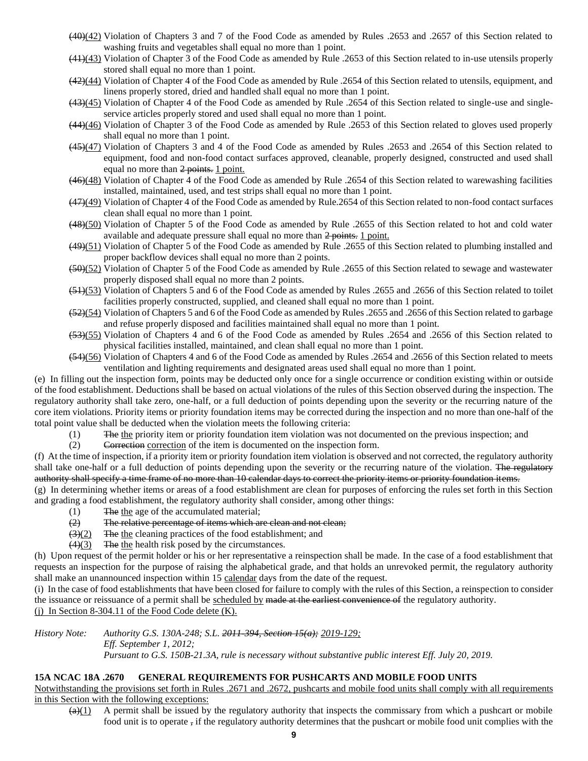- (40)(42) Violation of Chapters 3 and 7 of the Food Code as amended by Rules .2653 and .2657 of this Section related to washing fruits and vegetables shall equal no more than 1 point.
- (41)(43) Violation of Chapter 3 of the Food Code as amended by Rule .2653 of this Section related to in-use utensils properly stored shall equal no more than 1 point.
- (42)(44) Violation of Chapter 4 of the Food Code as amended by Rule .2654 of this Section related to utensils, equipment, and linens properly stored, dried and handled shall equal no more than 1 point.
- (43)(45) Violation of Chapter 4 of the Food Code as amended by Rule .2654 of this Section related to single-use and singleservice articles properly stored and used shall equal no more than 1 point.
- (44)(46) Violation of Chapter 3 of the Food Code as amended by Rule .2653 of this Section related to gloves used properly shall equal no more than 1 point.
- (45)(47) Violation of Chapters 3 and 4 of the Food Code as amended by Rules .2653 and .2654 of this Section related to equipment, food and non-food contact surfaces approved, cleanable, properly designed, constructed and used shall equal no more than 2 points. 1 point.
- (46)(48) Violation of Chapter 4 of the Food Code as amended by Rule .2654 of this Section related to warewashing facilities installed, maintained, used, and test strips shall equal no more than 1 point.
- (47)(49) Violation of Chapter 4 of the Food Code as amended by Rule.2654 of this Section related to non-food contact surfaces clean shall equal no more than 1 point.
- (48)(50) Violation of Chapter 5 of the Food Code as amended by Rule .2655 of this Section related to hot and cold water available and adequate pressure shall equal no more than 2 points. 1 point.
- (49)(51) Violation of Chapter 5 of the Food Code as amended by Rule .2655 of this Section related to plumbing installed and proper backflow devices shall equal no more than 2 points.
- (50)(52) Violation of Chapter 5 of the Food Code as amended by Rule .2655 of this Section related to sewage and wastewater properly disposed shall equal no more than 2 points.
- (51)(53) Violation of Chapters 5 and 6 of the Food Code as amended by Rules .2655 and .2656 of this Section related to toilet facilities properly constructed, supplied, and cleaned shall equal no more than 1 point.
- (52)(54) Violation of Chapters 5 and 6 of the Food Code as amended by Rules .2655 and .2656 of this Section related to garbage and refuse properly disposed and facilities maintained shall equal no more than 1 point.
- (53)(55) Violation of Chapters 4 and 6 of the Food Code as amended by Rules .2654 and .2656 of this Section related to physical facilities installed, maintained, and clean shall equal no more than 1 point.
- (54)(56) Violation of Chapters 4 and 6 of the Food Code as amended by Rules .2654 and .2656 of this Section related to meets ventilation and lighting requirements and designated areas used shall equal no more than 1 point.

(e) In filling out the inspection form, points may be deducted only once for a single occurrence or condition existing within or outside of the food establishment. Deductions shall be based on actual violations of the rules of this Section observed during the inspection. The regulatory authority shall take zero, one-half, or a full deduction of points depending upon the severity or the recurring nature of the core item violations. Priority items or priority foundation items may be corrected during the inspection and no more than one-half of the total point value shall be deducted when the violation meets the following criteria:

- (1) The the priority item or priority foundation item violation was not documented on the previous inspection; and
- (2) Correction correction of the item is documented on the inspection form.

(f) At the time of inspection, if a priority item or priority foundation item violation is observed and not corrected, the regulatory authority shall take one-half or a full deduction of points depending upon the severity or the recurring nature of the violation. The regulatory authority shall specify a time frame of no more than 10 calendar days to correct the priority items or priority foundation items.

(g) In determining whether items or areas of a food establishment are clean for purposes of enforcing the rules set forth in this Section and grading a food establishment, the regulatory authority shall consider, among other things:

- (1) The the age of the accumulated material;
- (2) The relative percentage of items which are clean and not clean;
- $\left(\frac{3}{2}\right)$  The the cleaning practices of the food establishment; and
- $\left(4\right)\left(3\right)$  The the health risk posed by the circumstances.

(h) Upon request of the permit holder or his or her representative a reinspection shall be made. In the case of a food establishment that requests an inspection for the purpose of raising the alphabetical grade, and that holds an unrevoked permit, the regulatory authority shall make an unannounced inspection within 15 calendar days from the date of the request.

(i) In the case of food establishments that have been closed for failure to comply with the rules of this Section, a reinspection to consider the issuance or reissuance of a permit shall be scheduled by made at the earliest convenience of the regulatory authority. (i) In Section 8-304.11 of the Food Code delete  $(K)$ .

*History Note: Authority G.S. 130A-248; S.L. 2011-394, Section 15(a); 2019-129; Eff. September 1, 2012; Pursuant to G.S. 150B-21.3A, rule is necessary without substantive public interest Eff. July 20, 2019.*

## **15A NCAC 18A .2670 GENERAL REQUIREMENTS FOR PUSHCARTS AND MOBILE FOOD UNITS**

Notwithstanding the provisions set forth in Rules .2671 and .2672, pushcarts and mobile food units shall comply with all requirements in this Section with the following exceptions:

 $\left(\frac{a}{c}\right)$  A permit shall be issued by the regulatory authority that inspects the commissary from which a pushcart or mobile food unit is to operate , if the regulatory authority determines that the pushcart or mobile food unit complies with the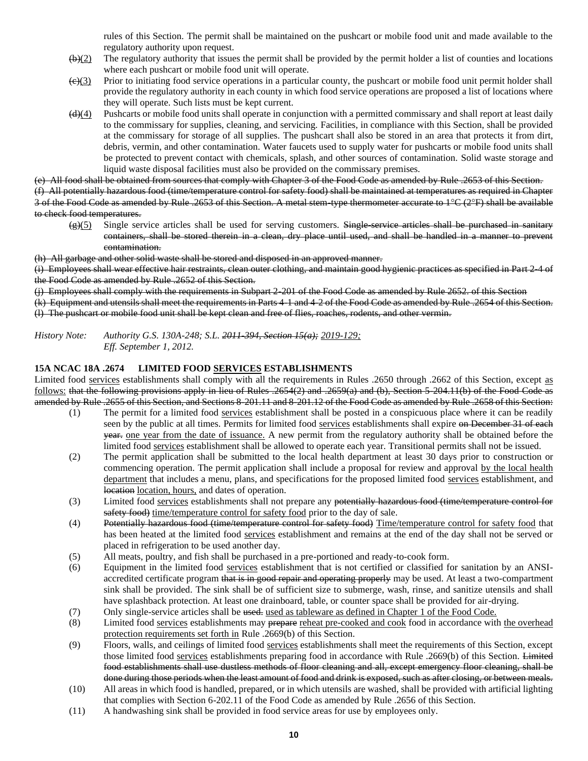rules of this Section. The permit shall be maintained on the pushcart or mobile food unit and made available to the regulatory authority upon request.

- $(b)(2)$  The regulatory authority that issues the permit shall be provided by the permit holder a list of counties and locations where each pushcart or mobile food unit will operate.
- $\left(\frac{\Theta}{3}\right)$  Prior to initiating food service operations in a particular county, the pushcart or mobile food unit permit holder shall provide the regulatory authority in each county in which food service operations are proposed a list of locations where they will operate. Such lists must be kept current.
- $\left(\frac{d}{d}\right)$  Pushcarts or mobile food units shall operate in conjunction with a permitted commissary and shall report at least daily to the commissary for supplies, cleaning, and servicing. Facilities, in compliance with this Section, shall be provided at the commissary for storage of all supplies. The pushcart shall also be stored in an area that protects it from dirt, debris, vermin, and other contamination. Water faucets used to supply water for pushcarts or mobile food units shall be protected to prevent contact with chemicals, splash, and other sources of contamination. Solid waste storage and liquid waste disposal facilities must also be provided on the commissary premises.

(e) All food shall be obtained from sources that comply with Chapter 3 of the Food Code as amended by Rule .2653 of this Section. (f) All potentially hazardous food (time/temperature control for safety food) shall be maintained at temperatures as required in Chapter 3 of the Food Code as amended by Rule .2653 of this Section. A metal stem-type thermometer accurate to 1°C (2°F) shall be available to check food temperatures.

 $\frac{g}{(g)}$  Single service articles shall be used for serving customers. Single service articles shall be purchased in sanitary containers, shall be stored therein in a clean, dry place until used, and shall be handled in a manner to prevent contamination.

(h) All garbage and other solid waste shall be stored and disposed in an approved manner.

(i) Employees shall wear effective hair restraints, clean outer clothing, and maintain good hygienic practices as specified in Part 2-4 of the Food Code as amended by Rule .2652 of this Section.

(j) Employees shall comply with the requirements in Subpart 2-201 of the Food Code as amended by Rule 2652. of this Section

(k) Equipment and utensils shall meet the requirements in Parts 4-1 and 4-2 of the Food Code as amended by Rule .2654 of this Section. (l) The pushcart or mobile food unit shall be kept clean and free of flies, roaches, rodents, and other vermin.

*History Note: Authority G.S. 130A-248; S.L. 2011-394, Section 15(a); 2019-129; Eff. September 1, 2012.*

#### **15A NCAC 18A .2674 LIMITED FOOD SERVICES ESTABLISHMENTS**

Limited food services establishments shall comply with all the requirements in Rules .2650 through .2662 of this Section, except as follows: that the following provisions apply in lieu of Rules .2654(2) and .2659(a) and (b), Section 5-204.11(b) of the Food Code as amended by Rule .2655 of this Section, and Sections 8-201.11 and 8-201.12 of the Food Code as amended by Rule .2658 of this Section:

- (1) The permit for a limited food services establishment shall be posted in a conspicuous place where it can be readily seen by the public at all times. Permits for limited food services establishments shall expire on December 31 of each year. one year from the date of issuance. A new permit from the regulatory authority shall be obtained before the limited food services establishment shall be allowed to operate each year. Transitional permits shall not be issued.
- (2) The permit application shall be submitted to the local health department at least 30 days prior to construction or commencing operation. The permit application shall include a proposal for review and approval by the local health department that includes a menu, plans, and specifications for the proposed limited food services establishment, and location location, hours, and dates of operation.
- (3) Limited food services establishments shall not prepare any potentially hazardous food (time/temperature control for safety food) time/temperature control for safety food prior to the day of sale.
- (4) Potentially hazardous food (time/temperature control for safety food) Time/temperature control for safety food that has been heated at the limited food services establishment and remains at the end of the day shall not be served or placed in refrigeration to be used another day.
- (5) All meats, poultry, and fish shall be purchased in a pre-portioned and ready-to-cook form.
- (6) Equipment in the limited food services establishment that is not certified or classified for sanitation by an ANSIaccredited certificate program that is in good repair and operating properly may be used. At least a two-compartment sink shall be provided. The sink shall be of sufficient size to submerge, wash, rinse, and sanitize utensils and shall have splashback protection. At least one drainboard, table, or counter space shall be provided for air-drying.
- (7) Only single-service articles shall be used. used as tableware as defined in Chapter 1 of the Food Code.
- (8) Limited food services establishments may prepare reheat pre-cooked and cook food in accordance with the overhead protection requirements set forth in Rule .2669(b) of this Section.
- (9) Floors, walls, and ceilings of limited food services establishments shall meet the requirements of this Section, except those limited food services establishments preparing food in accordance with Rule .2669(b) of this Section. Limited food establishments shall use dustless methods of floor cleaning and all, except emergency floor cleaning, shall be done during those periods when the least amount of food and drink is exposed, such as after closing, or between meals.
- (10) All areas in which food is handled, prepared, or in which utensils are washed, shall be provided with artificial lighting that complies with Section 6-202.11 of the Food Code as amended by Rule .2656 of this Section.
- (11) A handwashing sink shall be provided in food service areas for use by employees only.